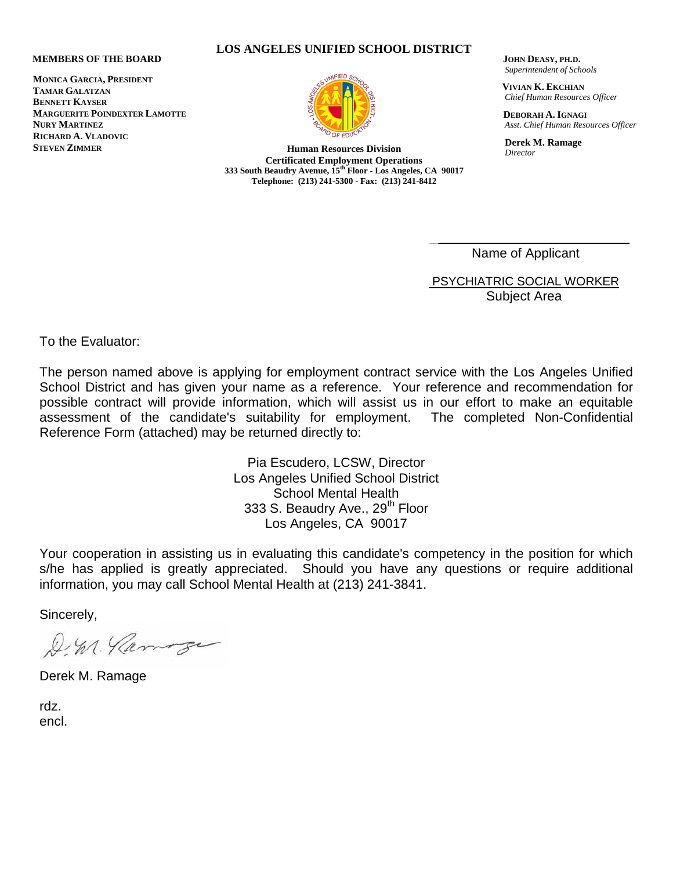## **MEMBERS OF THE BOARD**

**MONICA GARCIA, PRESIDENT TAMAR GALATZAN BENNETT KAYSER MARGUERITE POINDEXTER LAMOTTE NURY MARTINEZ RICHARD A. VLADOVIC STEVEN ZIMMER**



 **JOHN DEASY, PH.D.** *Superintendent of Schools*

 **VIVIAN K. EKCHIAN** *Chief Human Resources Officer*

 **DEBORAH A. IGNAGI** *Asst. Chief Human Resources Officer*

 **Derek M. Ramage** *Director*

Name of Applicant

 $\overline{\phantom{a}}$  , where  $\overline{\phantom{a}}$  , where  $\overline{\phantom{a}}$  , where  $\overline{\phantom{a}}$  , where  $\overline{\phantom{a}}$ 

PSYCHIATRIC SOCIAL WORKER Subject Area

To the Evaluator:

The person named above is applying for employment contract service with the Los Angeles Unified School District and has given your name as a reference. Your reference and recommendation for possible contract will provide information, which will assist us in our effort to make an equitable assessment of the candidate's suitability for employment. The completed Non-Confidential Reference Form (attached) may be returned directly to:

> Pia Escudero, LCSW, Director Los Angeles Unified School District School Mental Health 333 S. Beaudry Ave., 29<sup>th</sup> Floor Los Angeles, CA 90017

Your cooperation in assisting us in evaluating this candidate's competency in the position for which s/he has applied is greatly appreciated. Should you have any questions or require additional information, you may call School Mental Health at (213) 241-3841.

Sincerely,

D. M. Parmorge

Derek M. Ramage

rdz. encl.



**Certificated Employment Operations 333 South Beaudry Avenue, 15th Floor - Los Angeles, CA 90017 Telephone: (213) 241-5300 - Fax: (213) 241-8412**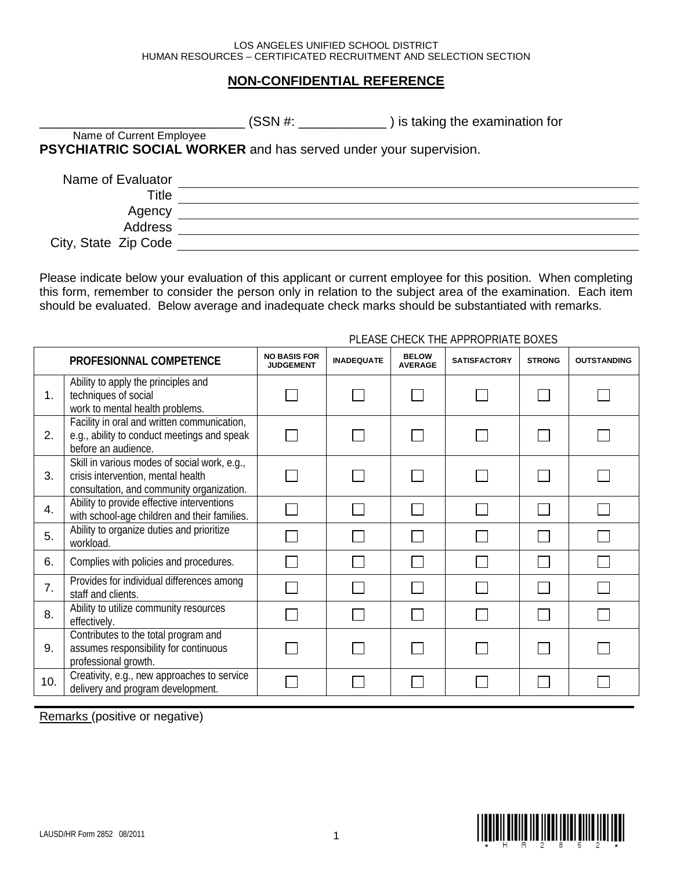## **NON-CONFIDENTIAL REFERENCE**

|                          | (SSN #:                                                          | ) is taking the examination for |  |
|--------------------------|------------------------------------------------------------------|---------------------------------|--|
| Name of Current Employee |                                                                  |                                 |  |
|                          | PSYCHIATRIC SOCIAL WORKER and has served under your supervision. |                                 |  |
| Name of Evaluator        |                                                                  |                                 |  |
| Title                    |                                                                  |                                 |  |
| Agency                   |                                                                  |                                 |  |
| Address                  |                                                                  |                                 |  |
| City, State Zip Code     |                                                                  |                                 |  |

Please indicate below your evaluation of this applicant or current employee for this position. When completing this form, remember to consider the person only in relation to the subject area of the examination. Each item should be evaluated. Below average and inadequate check marks should be substantiated with remarks.

## PLEASE CHECK THE APPROPRIATE BOXES

|                  | PROFESIONNAL COMPETENCE                                                                                                         | <b>NO BASIS FOR</b><br><b>JUDGEMENT</b> | <b>INADEQUATE</b> | <b>BELOW</b><br><b>AVERAGE</b> | <b>SATISFACTORY</b> | <b>STRONG</b>               | <b>OUTSTANDING</b> |
|------------------|---------------------------------------------------------------------------------------------------------------------------------|-----------------------------------------|-------------------|--------------------------------|---------------------|-----------------------------|--------------------|
| 1.               | Ability to apply the principles and<br>techniques of social<br>work to mental health problems.                                  |                                         |                   |                                |                     |                             |                    |
| 2.               | Facility in oral and written communication,<br>e.g., ability to conduct meetings and speak<br>before an audience.               |                                         |                   |                                |                     |                             |                    |
| 3.               | Skill in various modes of social work, e.g.,<br>crisis intervention, mental health<br>consultation, and community organization. |                                         |                   |                                |                     | $\mathcal{L}_{\mathcal{A}}$ |                    |
| $\overline{4}$ . | Ability to provide effective interventions<br>with school-age children and their families.                                      |                                         |                   |                                |                     |                             |                    |
| 5.               | Ability to organize duties and prioritize<br>workload.                                                                          |                                         |                   |                                |                     |                             |                    |
| 6.               | Complies with policies and procedures.                                                                                          |                                         |                   |                                |                     |                             |                    |
| $\overline{7}$ . | Provides for individual differences among<br>staff and clients.                                                                 |                                         |                   |                                |                     |                             |                    |
| 8.               | Ability to utilize community resources<br>effectively.                                                                          |                                         |                   |                                |                     |                             |                    |
| 9.               | Contributes to the total program and<br>assumes responsibility for continuous<br>professional growth.                           |                                         |                   |                                |                     | L                           |                    |
| 10.              | Creativity, e.g., new approaches to service<br>delivery and program development.                                                |                                         |                   |                                |                     |                             |                    |

Remarks (positive or negative)